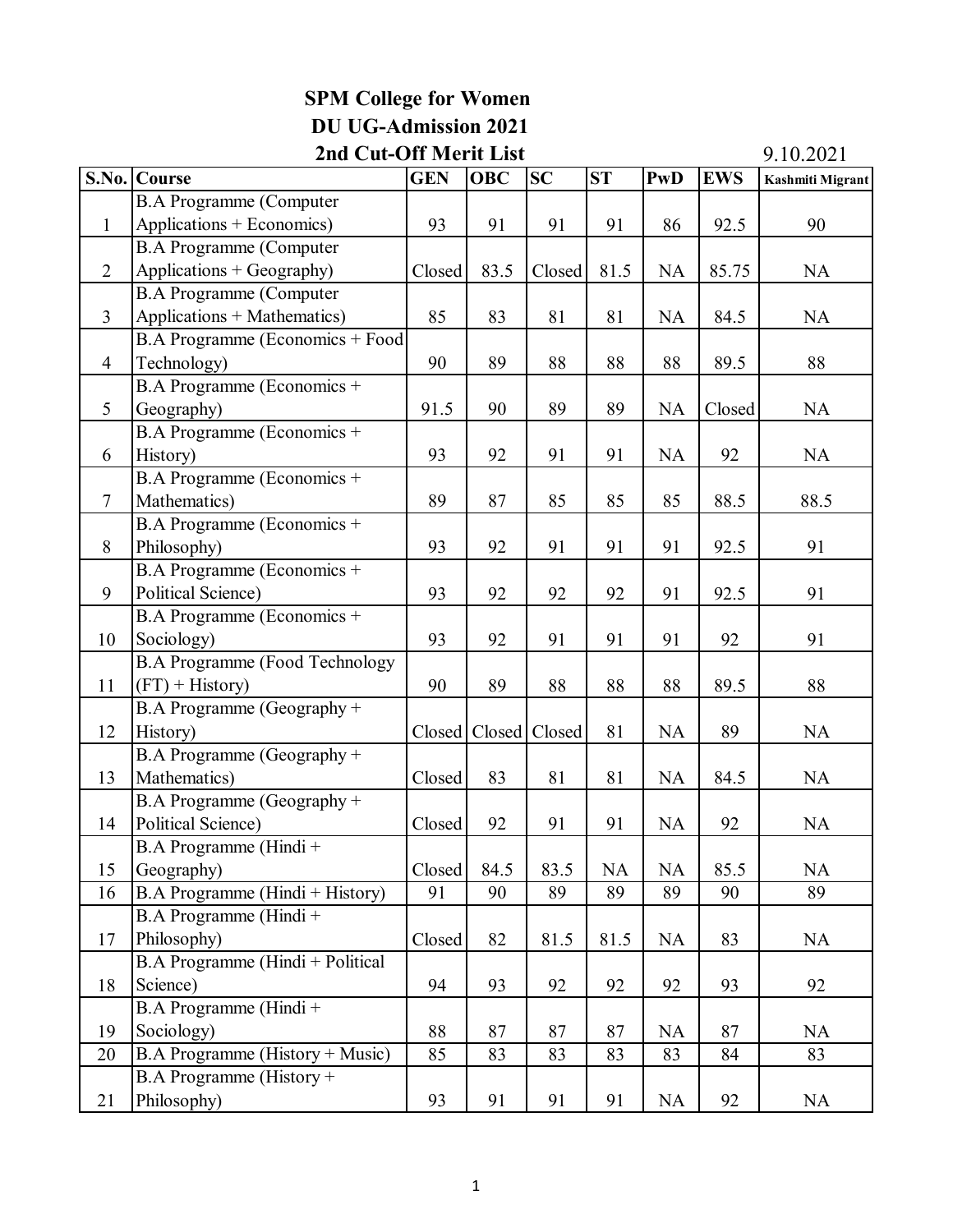|                | 2nd Cut-Off Merit List                |            |            |           |           |            |            |                         |
|----------------|---------------------------------------|------------|------------|-----------|-----------|------------|------------|-------------------------|
|                | S.No. Course                          | <b>GEN</b> | <b>OBC</b> | <b>SC</b> | ST        | <b>PwD</b> | <b>EWS</b> | <b>Kashmiti Migrant</b> |
|                | <b>B.A Programme (Computer</b>        |            |            |           |           |            |            |                         |
| $\mathbf{1}$   | Applications + Economics)             | 93         | 91         | 91        | 91        | 86         | 92.5       | 90                      |
|                | <b>B.A Programme (Computer</b>        |            |            |           |           |            |            |                         |
| $\overline{2}$ | Applications + Geography)             | Closed     | 83.5       | Closed    | 81.5      | <b>NA</b>  | 85.75      | <b>NA</b>               |
|                | <b>B.A Programme (Computer</b>        |            |            |           |           |            |            |                         |
| $\overline{3}$ | Applications + Mathematics)           | 85         | 83         | 81        | 81        | NA         | 84.5       | NA                      |
|                | B.A Programme (Economics + Food       |            |            |           |           |            |            |                         |
| $\overline{4}$ | Technology)                           | 90         | 89         | 88        | 88        | 88         | 89.5       | 88                      |
|                | B.A Programme (Economics +            |            |            |           |           |            |            |                         |
| 5              | Geography)                            | 91.5       | 90         | 89        | 89        | NA         | Closed     | <b>NA</b>               |
|                | B.A Programme (Economics +            |            |            |           |           |            |            |                         |
| 6              | History)                              | 93         | 92         | 91        | 91        | <b>NA</b>  | 92         | NA                      |
|                | B.A Programme (Economics +            |            |            |           |           |            |            |                         |
| $\overline{7}$ | Mathematics)                          | 89         | 87         | 85        | 85        | 85         | 88.5       | 88.5                    |
|                | B.A Programme (Economics +            |            |            |           |           |            |            |                         |
| 8              | Philosophy)                           | 93         | 92         | 91        | 91        | 91         | 92.5       | 91                      |
|                | B.A Programme (Economics +            |            |            |           |           |            |            |                         |
| 9              | <b>Political Science)</b>             | 93         | 92         | 92        | 92        | 91         | 92.5       | 91                      |
|                | B.A Programme (Economics +            |            |            |           |           |            |            |                         |
| 10             | Sociology)                            | 93         | 92         | 91        | 91        | 91         | 92         | 91                      |
|                | <b>B.A Programme (Food Technology</b> |            |            |           |           |            |            |                         |
| 11             | $(FT)$ + History)                     | 90         | 89         | 88        | 88        | 88         | 89.5       | 88                      |
|                | B.A Programme (Geography +            |            |            |           |           |            |            |                         |
| 12             | History)                              | Closed     | Closed     | Closed    | 81        | NA         | 89         | <b>NA</b>               |
|                | B.A Programme (Geography +            |            |            |           |           |            |            |                         |
| 13             | Mathematics)                          | Closed     | 83         | 81        | 81        | NA         | 84.5       | <b>NA</b>               |
|                | B.A Programme (Geography +            |            |            |           |           |            |            |                         |
| 14             | Political Science)                    | Closed     | 92         | 91        | 91        | <b>NA</b>  | 92         | <b>NA</b>               |
|                | B.A Programme (Hindi +                |            |            |           |           |            |            |                         |
| 15             | Geography)                            | Closed     | 84.5       | 83.5      | <b>NA</b> | NA         | 85.5       | <b>NA</b>               |
| 16             | B.A Programme (Hindi + History)       | 91         | 90         | 89        | 89        | 89         | 90         | 89                      |
|                | B.A Programme (Hindi +                |            |            |           |           |            |            |                         |
| 17             | Philosophy)                           | Closed     | 82         | 81.5      | 81.5      | <b>NA</b>  | 83         | <b>NA</b>               |
|                | B.A Programme (Hindi + Political      |            |            |           |           |            |            |                         |
| 18             | Science)                              | 94         | 93         | 92        | 92        | 92         | 93         | 92                      |
|                | B.A Programme (Hindi+                 |            |            |           |           |            |            |                         |
| 19             | Sociology)                            | 88         | 87         | 87        | 87        | <b>NA</b>  | 87         | <b>NA</b>               |
| 20             | B.A Programme (History + Music)       | 85         | 83         | 83        | 83        | 83         | 84         | 83                      |
|                | $B.A$ Programme (History +            |            |            |           |           |            |            |                         |
| 21             | Philosophy)                           | 93         | 91         | 91        | 91        | NA         | 92         | <b>NA</b>               |

## **SPM College for Women DU UG-Admission 2021**